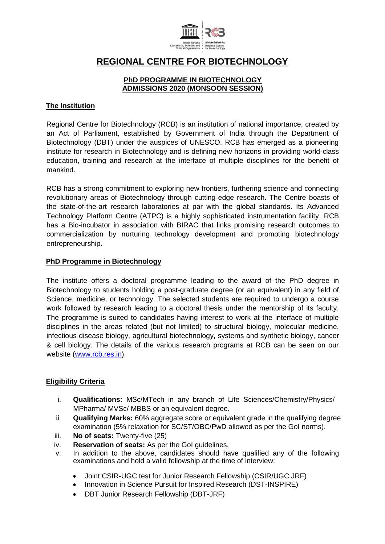

# **REGIONAL CENTRE FOR BIOTECHNOLOGY**

#### **PhD PROGRAMME IN BIOTECHNOLOGY ADMISSIONS 2020 (MONSOON SESSION)**

## **The Institution**

Regional Centre for Biotechnology (RCB) is an institution of national importance, created by an Act of Parliament, established by Government of India through the Department of Biotechnology (DBT) under the auspices of UNESCO. RCB has emerged as a pioneering institute for research in Biotechnology and is defining new horizons in providing world-class education, training and research at the interface of multiple disciplines for the benefit of mankind.

RCB has a strong commitment to exploring new frontiers, furthering science and connecting revolutionary areas of Biotechnology through cutting-edge research. The Centre boasts of the state-of-the-art research laboratories at par with the global standards. Its Advanced Technology Platform Centre (ATPC) is a highly sophisticated instrumentation facility. RCB has a Bio-incubator in association with BIRAC that links promising research outcomes to commercialization by nurturing technology development and promoting biotechnology entrepreneurship.

#### **PhD Programme in Biotechnology**

The institute offers a doctoral programme leading to the award of the PhD degree in Biotechnology to students holding a post-graduate degree (or an equivalent) in any field of Science, medicine, or technology. The selected students are required to undergo a course work followed by research leading to a doctoral thesis under the mentorship of its faculty. The programme is suited to candidates having interest to work at the interface of multiple disciplines in the areas related (but not limited) to structural biology, molecular medicine, infectious disease biology, agricultural biotechnology, systems and synthetic biology, cancer & cell biology. The details of the various research programs at RCB can be seen on our website [\(www.rcb.res.in\)](http://www.rcb.res.in/).

#### **Eligibility Criteria**

- i. **Qualifications:** MSc/MTech in any branch of Life Sciences/Chemistry/Physics/ MPharma/ MVSc/ MBBS or an equivalent degree.
- ii. **Qualifying Marks:** 60% aggregate score or equivalent grade in the qualifying degree examination (5% relaxation for SC/ST/OBC/PwD allowed as per the GoI norms).
- iii. **No of seats:** Twenty-five (25)
- iv. **Reservation of seats:** As per the GoI guidelines.
- v. In addition to the above, candidates should have qualified any of the following examinations and hold a valid fellowship at the time of interview:
	- Joint CSIR-UGC test for Junior Research Fellowship (CSIR/UGC JRF)
	- Innovation in Science Pursuit for Inspired Research (DST-INSPIRE)
	- DBT Junior Research Fellowship (DBT-JRF)